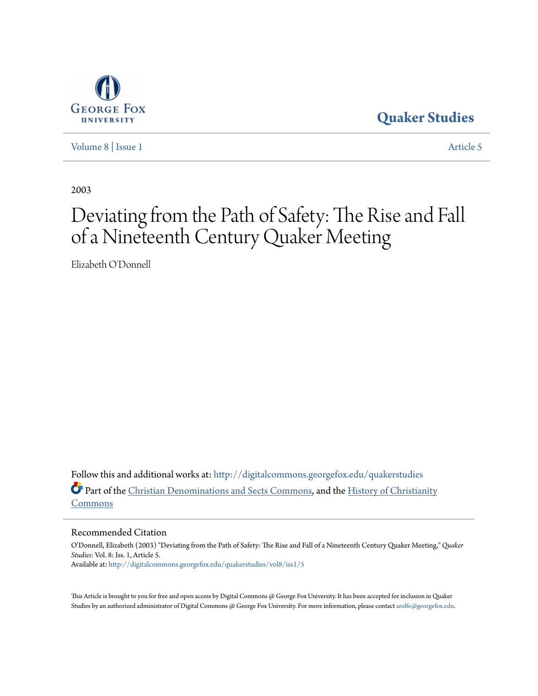

**[Quaker Studies](http://digitalcommons.georgefox.edu/quakerstudies?utm_source=digitalcommons.georgefox.edu%2Fquakerstudies%2Fvol8%2Fiss1%2F5&utm_medium=PDF&utm_campaign=PDFCoverPages)**

[Volume 8](http://digitalcommons.georgefox.edu/quakerstudies/vol8?utm_source=digitalcommons.georgefox.edu%2Fquakerstudies%2Fvol8%2Fiss1%2F5&utm_medium=PDF&utm_campaign=PDFCoverPages) | [Issue 1](http://digitalcommons.georgefox.edu/quakerstudies/vol8/iss1?utm_source=digitalcommons.georgefox.edu%2Fquakerstudies%2Fvol8%2Fiss1%2F5&utm_medium=PDF&utm_campaign=PDFCoverPages) [Article 5](http://digitalcommons.georgefox.edu/quakerstudies/vol8/iss1/5?utm_source=digitalcommons.georgefox.edu%2Fquakerstudies%2Fvol8%2Fiss1%2F5&utm_medium=PDF&utm_campaign=PDFCoverPages)

2003

# Deviating from the Path of Safety: The Rise and Fall of a Nineteenth Century Quaker Meeting

Elizabeth O'Donnell

Follow this and additional works at: [http://digitalcommons.georgefox.edu/quakerstudies](http://digitalcommons.georgefox.edu/quakerstudies?utm_source=digitalcommons.georgefox.edu%2Fquakerstudies%2Fvol8%2Fiss1%2F5&utm_medium=PDF&utm_campaign=PDFCoverPages) Part of the [Christian Denominations and Sects Commons](http://network.bepress.com/hgg/discipline/1184?utm_source=digitalcommons.georgefox.edu%2Fquakerstudies%2Fvol8%2Fiss1%2F5&utm_medium=PDF&utm_campaign=PDFCoverPages), and the [History of Christianity](http://network.bepress.com/hgg/discipline/1182?utm_source=digitalcommons.georgefox.edu%2Fquakerstudies%2Fvol8%2Fiss1%2F5&utm_medium=PDF&utm_campaign=PDFCoverPages) [Commons](http://network.bepress.com/hgg/discipline/1182?utm_source=digitalcommons.georgefox.edu%2Fquakerstudies%2Fvol8%2Fiss1%2F5&utm_medium=PDF&utm_campaign=PDFCoverPages)

Recommended Citation

O'Donnell, Elizabeth (2003) "Deviating from the Path of Safety: The Rise and Fall of a Nineteenth Century Quaker Meeting," *Quaker Studies*: Vol. 8: Iss. 1, Article 5. Available at: [http://digitalcommons.georgefox.edu/quakerstudies/vol8/iss1/5](http://digitalcommons.georgefox.edu/quakerstudies/vol8/iss1/5?utm_source=digitalcommons.georgefox.edu%2Fquakerstudies%2Fvol8%2Fiss1%2F5&utm_medium=PDF&utm_campaign=PDFCoverPages)

This Article is brought to you for free and open access by Digital Commons @ George Fox University. It has been accepted for inclusion in Quaker Studies by an authorized administrator of Digital Commons @ George Fox University. For more information, please contact [arolfe@georgefox.edu.](mailto:arolfe@georgefox.edu)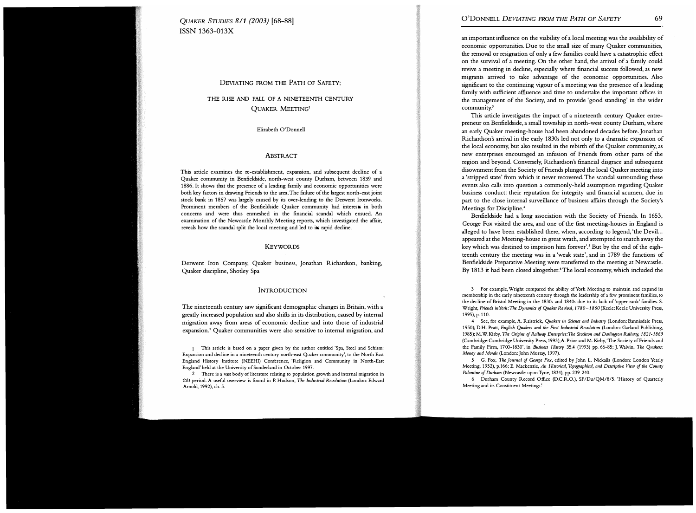QUAKER STUDIES 8/1 (2003) [68-88) ISSN 1363-013X

## DEVIATING FROM THE PATH OF SAFETY:

# THE RISE AND FALL OF A NINETEENTH CENTURY QUAKER MEETING1

Elizabeth O'Donnell

#### **ABSTRACT**

This article examines the re-establishment, expansion, and subsequent decline of a Quaker community in Benfieldside, north-west county Durham, between 1839 and 1886. It shows that the presence of a leading family and economic opportunities were both key factors in drawing Friends to the area. The failure of the largest north-east joint stock bank in 1857 was largely caused by its over-lending to the Derwent Ironworks. Prominent members of the Benfieldside Quaker community had interests in both concerns and were thus enmeshed in the financial scandal which ensued. An examination of the Newcastle Monthly Meeting reports, which investigated the affair, reveals how the scandal split the local meeting and led to its rapid decline.

#### KEYWORDS

Derwent Iron Company, Quaker business, Jonathan Richardson, banking, Quaker discipline, Shotley Spa

#### INTRODUCTION

The nineteenth century saw significant demographic changes in Britain, with a greatly increased population and also shifts in its distribution, caused by internal migration away from areas of economic decline and into those of industrial expansion.<sup>2</sup> Quaker communities were also sensitive to internal migration, and

This article is based on a paper given by the author entitled 'Spa, Steel and Schism: Expansion and decline in a nineteenth century north-east Quaker community', to the North East England History Institute (NEEHI) Conference, 'Religion and Community in North-East England' held at the University of Sunderland in October 1997.

2 There is a vast body of literature relating to population growth and internal migration in this period. A useful overview is found in P. Hudson, The Industrial Revolution (London: Edward Arnold, 1992), ch. 5.

an important influence on the viability of a local meeting was the availability of economic opportunities. Due to the small size of many Quaker communities, the removal or resignation of only a few families could have a catastrophic effect on the survival of a meeting. On the other hand, the arrival of a family could revive a meeting in decline, especially where financial success followed, as new migrants arrived to take advantage of the economic opportunities. Also significant to the continuing vigour of a meeting was the presence of a leading family with sufficient affiuence and time to undertake the important offices in the management of the Society, and to provide 'good standing' in the wider community.'

This article investigates the impact of a nineteenth century Quaker entrepreneur on Benfieldside, a small township in north-west county Durham, where an early Quaker meeting-house had been abandoned decades before. Jonathan Richardson's arrival in the early 1830s led not only to a dramatic expansion of the local economy, but also resulted in the rebirth of the Quaker community, as new enterprises encouraged an infusion of Friends from other parts of the region and beyond. Conversely, Richardson's financial disgrace and subsequent disownment from the Society of Friends plunged the local Quaker meeting into a 'stripped state' from which it never recovered. The scandal surrounding these events also calls into question a commonly-held assumption regarding Quaker business conduct: their reputation for integrity and financial acumen, due in part to the close internal surveillance of business affairs through the Society's Meetings for Discipline.<sup>4</sup>

Benfieldside had a long association with the Society of Friends. In 1653, George Fox visited the area, and one of the first meeting-houses in England is alleged to have been established there, when, according to legend, 'the Devil... appeared at the Meeting-house in great wrath, and attempted to snatch away the key which was destined to imprison him forever'.5 But by the end of the eighteenth century the meeting was in a 'weak state', and in 1789 the functions of Benfieldside Preparative Meeting were transferred to the meeting at Newcastle. By 1813 it had been closed altogether.<sup>6</sup> The local economy, which included the

3 For example, Wright compared the ability of York Meeting to maintain and expand its membership in the early nineteenth century through the leadership of a few prominent families, to the decline of Bristol Meeting in the 1830s and 1840s due to its lack of 'upper rank' families. S. Wright, Friends in York: The Dynamics of Quaker Revival, 1780-1860 (Keele: Keele University Press, 1995), p. 110.

4 See, for example, A. Raistrick, Quakers in Science and Industry (London: Bannisdale Press, 1950); D.H. Pratt, English Quakers and the First Industrial Revolution (London: Garland Publishing, 1985); M.W. Kirby, The Origins of Railway Enterprise: The Stockton and Darlington Railway, 1821-1863 (Cambridge: Cambridge University Press, 1993);A. Prior and M. Kirby, 'The Society of Friends and the Family Firm, 1700-1830', in Business History 35.4 (1993) pp. 66-85; J. Walvin, The Quakers: Money and Morals (London: John Murray, 1997).

5 G. Fox, The Journal of George Fox, edited by John L. Nickalls (London: London Yearly Meeting, 1952), p.166; E. Mackenzie, An Historical, Topographical, and Descriptive View of the County Palantine of Durham (Newcastle upon Tyne, 1834), pp. 239-240.

6 Durham County Record Office (D.C.R.O.), SF/Du/QM/8/5. 'History of Quarterly Meeting and its Constituent Meetings.'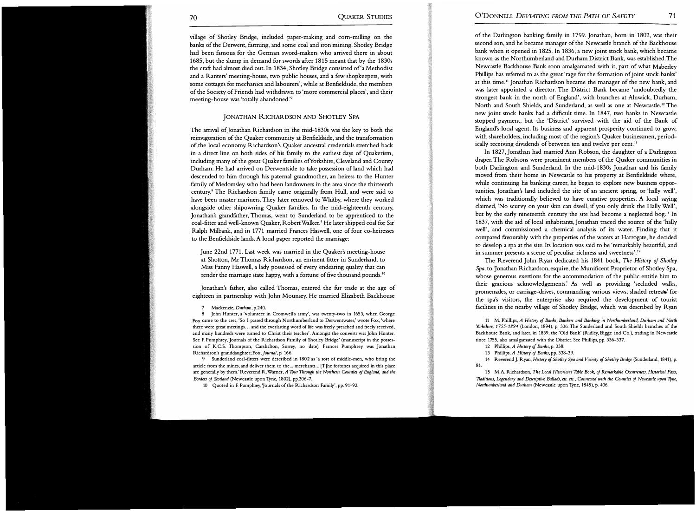village of Shotley Bridge, included paper-making and corn-milling on the banks of the Derwent, farming, and some coal and iron mining. Shotley Bridge had been famous for the German sword-makers who arrived there in about 1685, but the slump in demand for swords after 1815 meant that by the 1830s the craft had almost died out. In 1834, Shotley Bridge consisted of 'a Methodist and a Ranters' meeting-house, two public houses, and a few shopkeepers, with some cottages for mechanics and labourers', while at Benfieldside, the members of the Society of Friends had withdrawn to 'more commercial places', and their meeting-house was 'totally abandoned.''

## JONATHAN RICHARDSON AND SHOTLEY SPA

The arrival of Jonathan Richardson in the mid-1830s was the key to both the reinvigoration of the Quaker community at Benfieldside, and the transformation of the local economy. Richardson's Quaker ancestral credentials stretched back in a direct line on both sides of his family to the earliest days of Quakerism, including many of the great Quaker families ofYorkshire, Cleveland and County Durham. He had arrived on Derwentside to take possession of land which had descended to him through his paternal grandmother, an heiress to the Hunter family of Medomsley who had been landowners in the area since the thirteenth century." The Richardson family came originally from Hull, and were said to have been master mariners. They later removed to Whitby, where they worked alongside other shipowning Quaker families. In the mid-eighteenth century, Jonathan's grandfather, Thomas, went to Sunderland to be apprenticed to the coal-fitter and well-known Quaker, Robert Walker.<sup>9</sup> He later shipped coal for Sir Ralph Milbank, and in 1771 married Frances Haswell, one of four co-heiresses to the Benfieldside lands. A local paper reported the marriage:

June 22nd 1771. Last week was married in the Quaker's meeting-house at Shotton, Mr Thomas Richardson, an eminent fitter in Sunderland, to Miss Fanny Haswell, a lady possessed of every endearing quality that can render the marriage state happy, with a fortune of five thousand pounds. <sup>10</sup>

Jonathan's father, also called Thomas, entered the fur trade at the age of eighteen in partnership with John Mounsey. He married Elizabeth Backhouse

8 John Hunter, a 'volunteer in Cromwell's army', was twenty-two in 1653, when George Fox came to the area. 'So I passed through Northumberland to Derwentwater,' wrote Fox, 'where there were great meetings ... and the everlasting word of life was freely preached and freely received, and many hundreds were turned to Christ their teacher'. Amongst the converts was John Hunter. See E Pumphrey, 'Journals of the Richardson Family of Shetley Bridge' (manuscript in the possession of K.C.S. Thompson, Carshalton, Surrey, no date). Frances Pumphrey was Jonathan Richardson's granddaughter; Fox, journal, p. 166.

9 Sunderland coal-fitters were described in 1802 as 'a sort of middle-men, who bring the article from the mines, and deliver them to the ... merchants ... [T]he fortunes acquired in this place are generally by them.' Reverend R. Warner, A Tour Through the Northern Counties of England, and the Borders of Scotland (Newcastle upon Tyne, 1802), pp.306-7.

10 Quoted in E Pumphrey, 'Journals of the Richardson Family', pp. 91-92.

of the Darlington banking family in 1799. Jonathan, born in 1802, was their second son, and he became manager of the Newcastle branch of the Backhouse bank when it opened in 1825. In 1836, a new joint stock bank, which became known as the Northumberland and Durham District Bank, was established. The Newcastle Backhouse Bank soon amalgamated with it, part of what Maberley Phillips has referred to as the great 'rage for the formation of joint stock banks' at this time.'' Jonathan Richardson became the manager of the new bank, and was later appointed a director. The District Bank became 'undoubtedly the strongest bank in the north of England', with branches at Alnwick, Durham, North and South Shields, and Sunderland, as well as one at Newcastle.12 The new joint stock banks had a difficult time. In 1847, two banks in Newcastle stopped payment, but the 'District' survived with the aid of the Bank of England's local agent. Its business and apparent prosperity continued to grow, with shareholders, including most of the region's Quaker businessmen, periodically receiving dividends of between ten and twelve per cent.<sup>13</sup>

In 1827, Jonathan had married Ann Robson, the daughter of a Darlington draper. The Robsons were prominent members of the Quaker communities in both Darlington and Sunderland. In the mid-1830s Jonathan and his family moved from their home in Newcastle to his property at Benfieldside where, while continuing his banking career, he began to explore new business opportunities. Jonathan's land included the site of an ancient spring, or 'hally well', which was traditionally believed to have curative properties. A local saying claimed, 'No scurvy on your skin can dwell, if you only drink the Hally Well', but by the early nineteenth century the site had become a neglected bog.<sup>14</sup> In 1837, with the aid of local inhabitants, Jonathan traced the source of the 'hally well', and commissioned a chemical analysis of its water. Finding that it compared favourably with the properties of the waters at Harrogate, he decided to develop a spa at the site. Its location was said to be 'remarkably beautiful, and in summer presents a scene of peculiar richness and sweetness'. 15

The Reverend John Ryan dedicated his 1841 book, The History of Shotley Spa, to 'Jonathan Richardson, esquire, the Munificent Proprietor of Shotley Spa, whose generous exertions for the accommodation of the public entitle him to their gracious acknowledgements.' As well as providing 'secluded walks, promenades, or carriage-drives, co mmanding various views, shaded retreats' for the spa's visitors, the enterprise also required the development of tourist facilities in the nearby village of Shotley Bridge, which was described by Ryan

11 M. Phillips, A History of Banks, Bankers and Banking in Northumberland, Durham and North Yorkshire, 1755-1894 (London, 1894), p. 336. The Sunderland and South Shields branches of the Backhouse Bank, and later, in 1839, the 'Old Bank' (Ridley, Bigge and Co.), trading in Newcastle since 1755, also amalgamated with the District. See Phillips, pp. 336-337.

12 Phillips, A History of Banks, p. 338.

13 Phillips, A History of Banks, pp. 338-39.

14 Reverend J. Ryan, *History of Shotley Spa and Vicinity of Shotley Bridge (Sunderland, 1841)*, p. 81.

15 M.A. Richardson, The Local Historian's Table Book, of Remarkable Occurrences, Historical Facts, Traditions, Legendary and Descriptive Ballads, etc. etc., Connected with the Counties of Newcastle upon Tyne, Northumberland and Durham (Newcastle upon Tyne, 1845), p. 406.

<sup>7</sup> Mackenzie, Durham, p.240.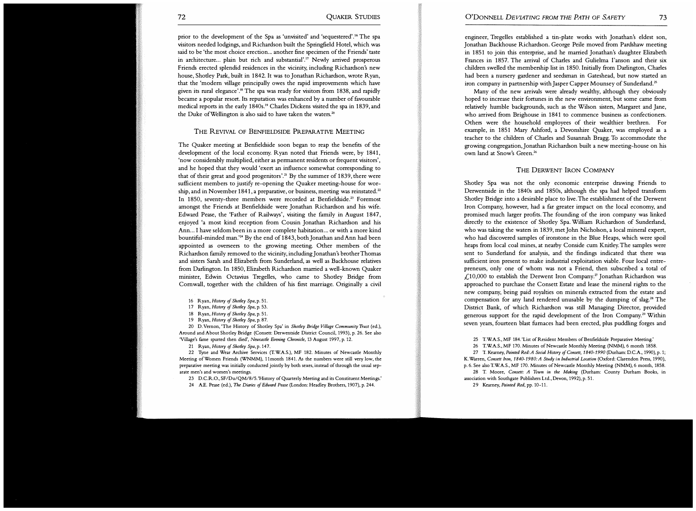prior to the development of the Spa as 'unvisited' and 'sequestered' .16 The spa visitors needed lodgings, and Richardson built the Springfield Hotel, which was said to be 'the most choice erection... another fine specimen of the Friends' taste in architecture... plain but rich and substantial'.<sup>17</sup> Newly arrived prosperous Friends erected splendid residences in the vicinity, including Richardson's new house, Shotley Park, built in 1842. It was to Jonathan Richardson, wrote Ryan, that the 'modern village principally owes the rapid improvements which have given its rural elegance'.18 The spa was ready for visitors from 1838, and rapidly became a popular resort. Its reputation was enhanced by a number of favourable medical reports in the early 1840s.19 Charles Dickens visited the spa in 1839, and the Duke of Wellington is also said to have taken the waters. $20$ 

### THE REVIVAL OF BENFIELDSIDE PREPARATIVE MEETING

The Quaker meeting at Benfieldside soon began to reap the benefits of the development of the local economy. Ryan noted that Friends were, by 1841, 'now considerably multiplied, either as permanent residents or frequent visitors', and he hoped that they would 'exert an influence somewhat corresponding to that of their great and good progenitors'.<sup>21</sup> By the summer of 1839, there were sufficient members to justify re-opening the Quaker meeting-house for worship, and in November 1841, a preparative, or business, meeting was reinstated.<sup>22</sup> In 1850, seventy-three members were recorded at Benfieldside.<sup>23</sup> Foremost amongst the Friends at Benfieldside were Jonathan Richardson and his wife. Edward Pease, the 'Father of Railways', visiting the family in August 1847, enjoyed 'a most kind reception from Cousin Jonathan Richardson and his Ann... I have seldom been in a more complete habitation... or with a more kind bountiful-minded man.'24 By the end of 1843, both Jonathan and Ann had been appointed as overseers to the growing meeting. Other members of the Richardson family removed to the vicinity, including Jonathan's brother Thomas and sisters Sarah and Elizabeth from Sunderland, as well as Backhouse relatives from Darlington. In 1850, Elizabeth Richardson married a well-known Quaker minister, Edwin Octavius Tregelles, who came to Shotley Bridge from Cornwall, together with the children of his first marriage. Originally a civil

16 Ryan, History of Shotley Spa, p. 51.

17 Ryan, History of Shotley Spa, p. 53.

18 Ryan, History of Shotley Spa, p. 51.

19 Ryan, History of Shotley Spa, p. 87.

20 D. Vernon, 'The History of Shotley Spa' in Shotley Bridge Village Community Trust (ed.), Around and About Shetley Bridge (Consett: Derwentside District Council, 1993), p. 26. See also 'Village's fame spurted then died', Newcastle Evening Chronicle, 13 August 1997, p. 12.

21 Ryan, History of Shotley Spa, p. 147.

22 Tyne and Wear Archive Services (T.WA.S.), MF 182. Minutes of Newcastle Monthly Meeting of Women Friends (WNMM), 11 month 1841. As the numbers were still very low, the preparative meeting was initially conducted jointly by both sexes, instead of through the usual separate men's and women's meetings.

23 D.C.R.O., SF/Du/QM/8/5. 'History of Quarterly Meeting and its Constituent Meetings.'

24 A.E. Pease (ed.), The Diaries of Edward Pease (London: Headley Brothers, 1907), p. 244.

engineer, Tregelles established a tin-plate works with Jonathan's eldest son, Jonathan Backhouse Richardson. George Peile moved from Pardshaw meeting in 1851 to join this enterprise, and he married Jonathan's daughter Elizabeth Frances in 1857. The arrival of Charles and Gulielma I'anson and their six children swelled the membership list in 1850. Initially from Darlington, Charles had been a nursery gardener and seedsman in Gateshead, but now started an iron company in partnership with Jasper Capper Mounsey of Sunderland.<sup>25</sup>

Many of the new arrivals were already wealthy, although they obviously hoped to increase their fortunes in the new environment, but some came from relatively humble backgrounds, such as the Wilson sisters, Margaret and Jane, who arrived from Brighouse in 1841 to commence business as confectioners. Others were the household employees of their wealthier brethren. For example, in 1851 Mary Ashford, a Devonshire Quaker, was employed as a teacher to the children of Charles and Susannah Bragg. To accommodate the growing congregation,Jonathan Richardson built a new meeting-house on his own land at Snow's Green.<sup>26</sup>

THE DERWENT IRON COMPANY

Shotley Spa was not the only economic enterprise drawing Friends to Derwentside in the 1840s and 1850s, although the spa had helped transform Shatley Bridge into a desirable place to live. The establishment of the Derwent Iron Company, however, had a far greater impact on the local economy, and promised much larger profits. The founding of the iron company was linked directly to the existence of Shotley Spa. William Richardson of Sunderland, who was taking the waters in 1839, met John Nicholson, a local mineral expert, who had discovered samples of ironstone in the Blue Heaps, which were spoil heaps from local coal mines, at nearby Conside cum Knitley. The samples were sent to Sunderland for analysis, and the findings indicated that there was sufficient iron present to make industrial exploitation viable. Four local entrepreneurs, only one of whom was not a Friend, then subscribed a total of £10,000 to establish the Derwent Iron Company.<sup>27</sup> Jonathan Richardson was approached to purchase the Consett Estate and lease the mineral rights to the new company, being paid royalties on minerals extracted from the estate and compensation for any land rendered unusable by the dumping of slag.<sup>28</sup> The District Bank, of which Richardson was still Managing Director, provided generous support for the rapid development of the Iron Company.<sup>29</sup> Within seven years, fourteen blast furnaces had been erected, plus puddling forges and

25 T.WA.S., MF 184. 'List of Resident Members of Benfieldside Preparative Meeting.'

26 T.WA.S., MF 170. Minutes of Newcastle Monthly Meeting (NMM), 6 month 1858.

27 T. Kearney, Painted Red: A Social History of Consett, 1840-1990 (Durham: D.C.A., 1990), p. 1; K. Warren, Consett Iron, 1840-1980: A Study in Industrial Location (Oxford: Clarendon Press, 1990), p. 6. See also T.WA.S., MF 170. Minutes of Newcastle Monthly Meeting (NMM), 6 month, 1858.

28 T. Moore, Consett: A Town in the Making (Durham: County Durham Books, in association with Southgate Publishers Ltd., Devon, 1992), p. 51.

29 Kearney, Painted Red, pp. 10-11.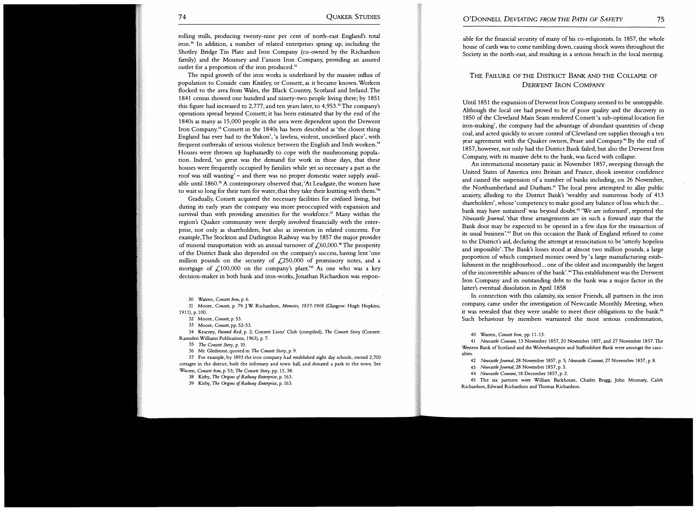rolling mills, producing twenty -nine per cent of north-east England's total iron.30 In addition, a number of related enterprises sprang up, including the Shotley Bridge Tin Plate and Iron Company (co-owned by the Richardson family) and the Mounsey and I'anson Iron Company, providing an assured outlet for a proportion of the iron produced.<sup>31</sup>

The rapid growth of the iron works is underlined by the massive influx of population to Conside cum Knitley, or Consett, as it became known. Workers flocked to the area from Wales, the Black Country, Scotland and Ireland. The 1841 census showed one hundred and ninety-two people living there; by 1851 this figure had increased to 2,777, and ten years later, to  $4,953.^{22}$  The company's operations spread beyond Consett; it has been estimated that by the end of the 1840s as many as 15,000 people in the area were dependent upon the Derwent Iron Company.33 Consett in the 1840s has been described as 'the closest thing England has ever had to the Yukon', 'a lawless, violent, uncivilised place' , with frequent outbreaks of serious violence between the English and Irish workers.<sup>34</sup> Houses were thrown up haphazardly to cope with the mushrooming population. Indeed, 'so great was the demand for work in those days, that these houses were frequently occupied by families while yet so necessary a part as the roof was still wanting' - and there was no proper domestic water supply available until 1860.<sup>35</sup> A contemporary observed that, 'At Leadgate, the women have to wait so long for their turn for water, that they take their knitting with them.' $\!^{\prime\prime}$ 

Gradually, Consett acquired the necessary facilities for civilised living, but during its early years the company was more preoccupied with expansion and survival than with providing amenities for the workforce.<sup>37</sup> Many within the region's Quaker community were deeply involved financially with the enterprise, not only as shareholders, but also as investors in related concerns. For example, The Stockton and Darlington Railway was by 1857 the major provider of mineral transportation with an annual turnover of  $\mathcal{L}$  60,000.<sup>38</sup> The prosperity of the District Bank also depended on the company's success, having lent 'one million pounds on the security of  $\angle 250,000$  of promissory notes, and a mortgage of  $\mathcal{L}$ 100,000 on the company's plant.'<sup>39</sup> As one who was a key decision-maker in both bank and iron-works, Jonathan Richardson was respon-

30 Warren, Consett Iron, p. 6.

31 Moore, Consett, p. 79; J.W Richardson, Memoirs, 1837-1908 (Glasgow: Hugh Hopkins, 1911), p. 100.

32 Moore, Consett, p. 53.

33 Moore, Consett, pp. 52-53.

34 Kearney, Painted Red, p. 2; Consett Lions' Club (compiled), The Consett Story (Consett: Ramsden Williams Publications, 1963), p. 7.

35 The Consett Story, p. 10.

36 Mr. Gledstone, quoted in The Consett Story, p. 9.

37 For example, by 1893 the iron company had established eight day schools, owned 2,700 cottages in the district, built the infirmary and town hall, and donated a park to the town. See Warren, Consett Iron, p. 53; The Consett Story, pp. 13, 38.

38 Kirby, The Origins of Railway Enterprise, p. 163.

39 Kirby, The Origins of Railway Enterprise, p. 163.

sible for the financial security of many of his co-religionists. In 1857, the whole house of cards was to come tumbling down, causing shock waves throughout the Society in the north-east, and resulting in a serious breach in the local meeting.

# THE FAILURE OF THE DISTRICT BANK AND THE COLLAPSE OF DERWENT IRON COMPANY

Until 1851 the expansion of Derwent Iron Company seemed to be unstoppable. Although the local ore had proved to be of poor quality and the discovery in 1850 of the Cleveland Main Seam rendered Consett 'a sub-optimal location for iron-making', the company had the advantage of abundant quantities of cheap coal, and acted quickly to secure control of Cleveland ore supplies through a ten year agreement with the Quaker owners, Pease and Company.<sup>40</sup> By the end of 1857, however, not only had the District Bank failed, but also the Derwent Iron Company, with its massive debt to the bank, was faced with collapse.

An international monetary panic in November 1857, sweeping through the United States of America into Britain and France, shook investor confidence and caused the suspension of a number of banks including, on 26 November, the Northumberland and Durham.<sup>41</sup> The local press attempted to allay public anxiety, alluding to the District Bank's 'wealthy and numerous body of 413 shareholders', whose 'competency to make good any balance of loss which the... bank may have sustained' was beyond doubt.<sup>42</sup> 'We are informed', reported the Newcastle Journal, 'that these arrangements are in such a forward state that the Bank door may be expected to be opened in a few days for the transaction of its usual business'.43 But on this occasion the Bank of England refused to come to the District's aid, declaring the attempt at resuscitation to be 'utterly hopeless and impossible'. The Bank's losses stood at almost two million pounds, a large proportion of which comprised monies owed by 'a large manufacturing establishment in the neighbourhood... one of the oldest and incomparably the largest of the inconvertible advances of the bank'.44This establishment was the Derwent Iron Company and its outstanding debt to the bank was a major factor in the latter's eventual dissolution in April 1858

In connection with this calamity, six senior Friends, all partners in the iron company, came under the investigation of Newcastle Monthly Meeting, when it was revealed that they were unable to meet their obligations to the bank.<sup>45</sup> Such behaviour by members warranted the most serious condemnation,

40 Warren, Consett Iron, pp. 11-13.

41 Newcastle Courant, 13 November 1857 , 20 November 1857, and 27 November 1857. The Western Bank of Scotland and the Wolverhampton and Staffordshire Bank were amongst the casualties.

42 Newcastle journal, 28 November 1857, p. 5; Newcastle Courant, 27 November 1857, p. 8.

43 Newcastle journal, 28 November 1857, p. 5.

44 Newcastle Courant, 18 December 1857, p. 2.

45 The six partners were William Backhouse, Charles Bragg, John Mounsey, Caleb Richardson, Edward Richardson and Thomas Richardson.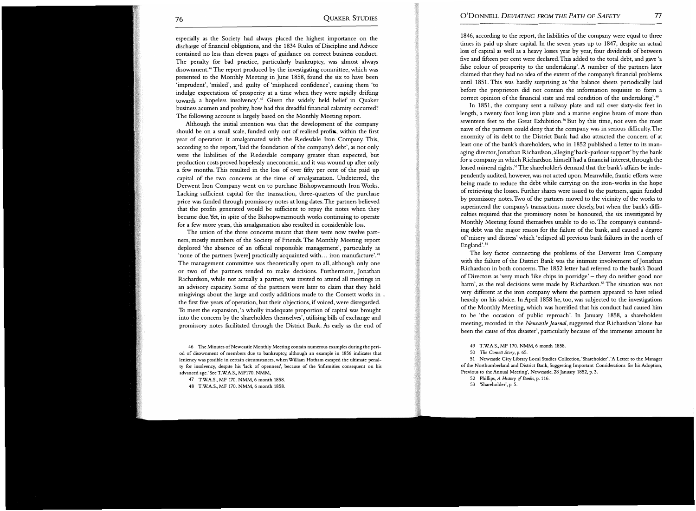especially as the Society had always placed the highest importance on the discharge of financial obligations, and the 1834 Rules of Discipline and Advice contained no less than eleven pages of guidance on correct business conduct. The penalty for bad practice, particularly bankruptcy, was almost always disownment.<sup>46</sup> The report produced by the investigating committee, which was presented to the Monthly Meeting in June 1858, found the six to have been 'imprudent', 'misled', and guilty of 'misplaced confidence', causing them 'to indulge expectations of prosperity at a time when they were rapidly drifting towards a hopeless insolvency'.<sup>47</sup> Given the widely held belief in Quaker business acumen and probity, how had this dreadful financial calamity occurred? The following account is largely based on the Monthly Meeting report.

Although the initial intention was that the development of the company should be on a small scale, funded only out of realised profits, within the first year of operation it amalgamated with the Redesdale Iron Company. This, according to the report, 'laid the foundation of the company's debt', as not only were the liabilities of the Redesdale company greater than expected, but production costs proved hopelessly uneconomic, and it was wound up after only a few months. This resulted in the loss of over fifty per cent of the paid up capital of the two concerns at the time of amalgamation. Undeterred, the Derwent Iron Company went on to purchase Bishopwearmouth Iron Works. Lacking sufficient capital for the transaction, three-quarters of the purchase price was funded through promissory notes at long dates. The partners believed that the profits generated would be sufficient to repay the notes when they became due. Yet, in spite of the Bishopwearmouth works continuing to operate for a few more years, this amalgamation also resulted in considerable loss.

The union of the three concerns meant that there were now twelve partners, mostly members of the Society of Friends. The Monthly Meeting report deplored 'the absence of an official responsible management', particularly as 'none of the partners [were] practically acquainted with... iron manufacture'.<sup>48</sup> The management committee was theoretically open to all, although only one or two of the partners tended to make decisions. Furthermore, Jonathan Richardson, while not actually a partner, was invited to attend all meetings in an advisory capacity. Some of the partners were later to claim that they held misgivings about the large and costly additions made to the Consett works in the first five years of operation, but their objections, if voiced, were disregarded. To meet the expansion, 'a wholly inadequate proportion of capital was brought into the concern by the shareholders themselves', utilising bills of exchange and promissory notes facilitated through the District Bank. As early as the end of

46 The Minutes of Newcastle Monthly Meeting contain numerous examples during the period of disownment of members due to bankruptcy, although an example in 1856 indicates that leniency was possible in certain circumstances, when William Hotham escaped the ultimate penalty for insolvency, despite his 'lack of openness', because of the 'infirmities consequent on his advanced age.' See T.W.A.S., MF170. NMM,

47 T.W.A.S., MF 170. NMM, 6 month 1858.

1846, according to the report, the liabilities of the company were equal to three times its paid up share capital. In the seven years up to 1847, despite an actual loss of capital as well as a heavy losses year by year, four dividends of between five and fifteen per cent were declared. This added to the total debt, and gave 'a false colour of prosperity to the undertaking'. A number of the partners later claimed that they had no idea of the extent of the company's financial problems until 1851. This was hardly surprising as 'the balance sheets periodically laid before the proprietors did not contain the information requisite to form a correct opinion of the financial state and real condition of the undertaking'.<sup>49</sup>

In 1851, the company sent a railway plate and rail over sixty-six feet in length, a twenty foot long iron plate and a marine engine beam of more than seventeen feet to the Great Exhibition.<sup>50</sup> But by this time, not even the most naive of the partners could deny that the company was in serious difficulty. The enormity of its debt to the District Bank had also attracted the concern of at least one of the bank's shareholders, who in 1852 published a letter to its managing director, Jonathan Richardson, alleging 'back-parlour support' by the bank for a company in which Richardson himself had a financial interest, through the leased mineral rights.<sup>51</sup> The shareholder's demand that the bank's affairs be independently audited, however, was not acted upon. Meanwhile, frantic efforts were being made to reduce the debt while carrying on the iron-works in the hope of retrieving the losses. Further shares were issued to the partners, again funded by promissory notes. Two of the partners moved to the vicinity of the works to superintend the company's transactions more closely, but when the bank's difficulties required that the promissory notes be honoured, the six investigated by Monthly Meeting found themselves unable to do so. The company's outstanding debt was the major reason for the failure of the bank, and caused a degree of'misery and distress' which 'eclipsed all previous bank failures in the north of England'.<sup>52</sup>

The key factor connecting the problems of the Derwent Iron Company with the failure of the District Bank was the intimate involvement of Jonathan Richardson in both concerns. The 1852 letter had referred to the bank's Board of Directors as 'very much 'like chips in porridge' - they do neither good nor harm', as the real decisions were made by Richardson.<sup>53</sup> The situation was not very different at the iron company where the partners appeared to have relied heavily on his advice. In April 1858 he, too, was subjected to the investigations of the Monthly Meeting, which was horrified that his conduct had caused him to be 'the occasion of public reproach'. In January 1858, a shareholders meeting, recorded in the Newcastle Journal, suggested that Richardson 'alone has been the cause of this disaster', particularly because of 'the immense amount he

49 T.W.A.S., MF 170. NMM, 6 month 1858.

51 Newcastle City Library Local Studies Collection, 'Shareholder', 'A Letter to the Manager of the Northumberland and District Bank, Suggesting Important Considerations for his Adoption, Previous to the Annual Meeting', Newcastle, 28 January 1852, p. 3.

52 Phillips, A History of Banks, p. 116.

<sup>48</sup> T.W.A.S., MF 170. NMM, 6 month 1858.

<sup>50</sup> The Consett Story, p. 65.

<sup>53 &#</sup>x27;Shareholder', p. 5.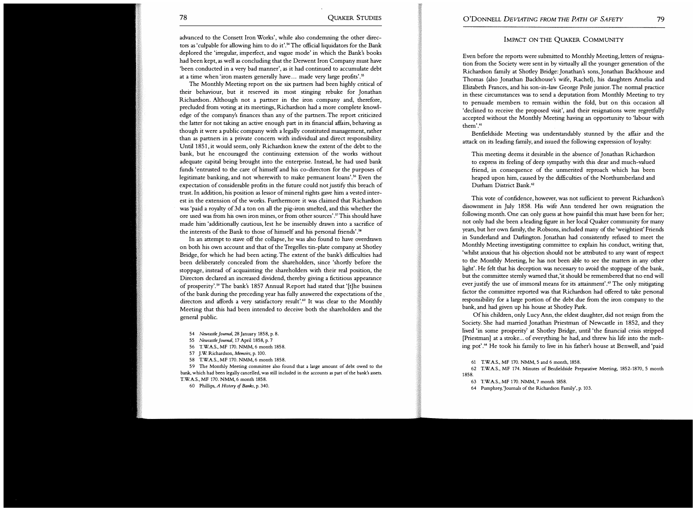advanced to the Consett Iron Works', while also condemning the other directors as 'culpable for allowing him to do it'.<sup>54</sup> The official liquidators for the Bank deplored the 'irregular, imperfect, and vague mode' in which the Bank's books had been kept, as well as concluding that the Derwent Iron Company must have 'been conducted in a very bad manner', as it had continued to accumulate debt at a time when 'iron masters generally have ... made very large profits'.<sup>55</sup>

The Monthly Meeting report on the six partners had been highly critical of their behaviour, but it reserved its most stinging rebuke for Jonathan Richardson. Although not a partner in the iron company and, therefore, precluded from voting at its meetings, Richardson had a more complete knowledge of the company's finances than any of the partners. The report criticized the latter for not taking an active enough part in its financial affairs, behaving as though it were a public company with a legally constituted management, rather than as partners in a private concern with individual and direct responsibility. Until 1851, it would seem, only Richardson knew the extent of the debt to the bank, but he encouraged the continuing extension of the works without adequate capital being brought into the enterprise. Instead, he had used bank funds 'entrusted to the care of himself and his co-directors for the purposes of legitimate banking, and not wherewith to make permanent loans'.<sup>56</sup> Even the expectation of considerable profits in the future could not justify this breach of trust. In addition, his position as lessor of mineral rights gave him a vested interest in the extension of the works. Furthermore it was claimed that Richardson was 'paid a royalty of 3d a ton on all the pig-iron smelted, and this whether the ore used was from his own iron mines, or from other sources'.57This should have made him 'additionally cautious, lest he be insensibly drawn into a sacrifice of the interests of the Bank to those of himself and his personal friends'.<sup>58</sup>

In an attempt to stave off the collapse, he was also found to have overdrawn on both his own account and that of the Tregelles tin-plate company at Shotley Bridge, for which he had been acting. The extent of the bank's difficulties had been deliberately concealed from the shareholders, since 'shortly before the stoppage, instead of acquainting the shareholders with their real position, the Directors declared an increased dividend, thereby giving a fictitious appearance of prosperity'.<sup>59</sup> The bank's 1857 Annual Report had stated that '[t]he business of the bank during the preceding year has fully answered the expectations of the . directors and affords a very satisfactory result'.<sup>60</sup> It was clear to the Monthly Meeting that this had been intended to deceive both the shareholders and the general public.

- 54 Newcastle journal, 28 January 1858, p. 8.
- 55 Newcastle journal, 17 April 1858, p. 7
- 56 T.W.A.S., MF 170. NMM, 6 month 1858.
- 57 J.W. Richardson, Memoirs, p. 100.
- 58 T.W.A.S., MF 170. NMM, 6 month 1858.

59 The Monthly Meeting committee also found that a large amount of debt owed to the bank, which had been legally cancelled, was still included in the accounts as part of the bank's assets. T.W.A.S., MF 170. NMM, 6 month 1858.

60 Phillips, A History of Banks, p. 340.

## IMPACT ON THE QUAKER COMMUNITY

Even before the reports were submitted to Monthly Meeting, letters of resignation from the Society were sent in by virtually all the younger generation of the Richardson family at Shotley Bridge: Jonathan's sons, Jonathan Backhouse and Thomas (also Jonathan Backhouse's wife, Rachel), his daughters Amelia and Elizabeth Frances, and his son-in-law George Peile junior. The normal practice in these circumstances was to send a deputation from Monthly Meeting to try to persuade members to remain within the fold, but on this occasion all 'declined to receive the proposed visit', and their resignations were regretfully accepted without the Monthly Meeting having an opportunity to 'labour with them'.<sup>61</sup>

Benfieldside Meeting was understandably stunned by the affair and the attack on its leading family, and issued the following expression of loyalty:

This meeting deems it desirable in the absence of Jonathan Richardson to express its feeling of deep sympathy with this dear and much-valued friend, in consequence of the unmerited reproach which has been heaped upon him, caused by the difficulties of the Northumberland and Durham District Bank.<sup>62</sup>

This vote of confidence, however, was not sufficient to prevent Richardson's disownment in July 1858. His wife Ann tendered her own resignation the following month. One can only guess at how painful this must have been for her; not only had she been a leading figure in her local Quaker community for many years, but her own family, the Robsons, included many of the 'weightiest' Friends in Sunderland and Darlington. Jonathan had consistently refused to meet the Monthly Meeting investigating committee to explain his conduct, writing that, 'whilst anxious that his objection should not be attributed to any want of respect to the Monthly Meeting, he has not been able to see the matters in any other light'. He felt that his deception was necessary to avoid the stoppage of the bank, but the committee sternly warned that, 'it should be remembered that no end will ever justify the use of immoral means for its attainment'.<sup>63</sup> The only mitigating factor the committee reported was that Richardson had offered to take personal responsibility for a large portion of the debt due from the iron company to the bank, and had given up his house at Shotley Park.

Of his children, only Lucy Ann, the eldest daughter, did not resign from the Society. She had married Jonathan Priestman of Newcastle in 1852, and they lived 'in some prosperity' at Shotley Bridge, until 'the financial crisis stripped [Priestman] at a stroke... of everything he had, and threw his life into the melting pot'.<sup>64</sup> He took his family to live in his father's house at Benwell, and 'paid

61 T.W.A.S., MF 170. NMM, 5 and 6 month, 1858.

- 62 T.W.A.S., MF 174. Minutes of Benfieldside Preparative Meeting, 1852-1870, 5 month 1858.
	- 63 T.W.A.S., MF 1 70. NMM, 7 month 1858.
	- 64 Pumphrey, journals of the Richardson Family', p. 103.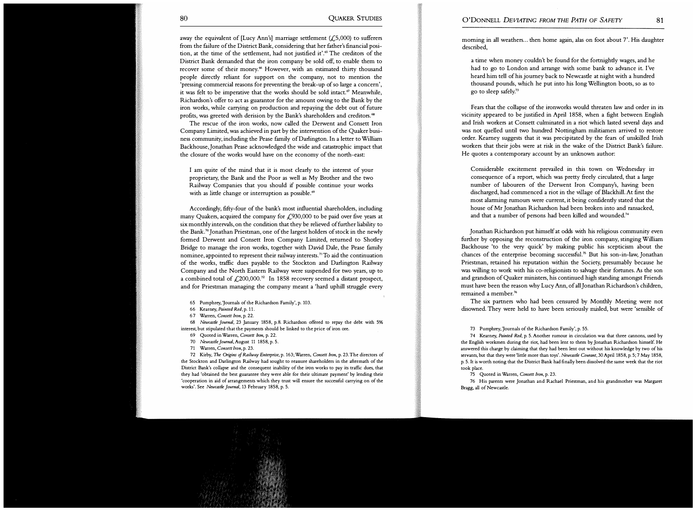away the equivalent of [Lucy Ann's] marriage settlement  $(f, 5,000)$  to sufferers from the failure of the District Bank, considering that her father's financial position, at the time of the settlement, had not justified it'.<sup>65</sup> The creditors of the District Bank demanded that the iron company be sold off, to enable them to recover some of their money.<sup>66</sup> However, with an estimated thirty thousand people directly reliant for support on the company, not to mention the 'pressing commercial reasons for preventing the break-up of so large a concern', it was felt to be imperative that the works should be sold intact.<sup> $\sigma$ </sup> Meanwhile, Richardson's offer to act as guarantor for the amount owing to the Bank by the iron works, while carrying on production and repaying the debt out of future profits, was greeted with derision by the Bank's shareholders and creditors.<sup>68</sup>

The rescue of the iron works, now called the Derwent and Consett Iron Company Limited, was achieved in part by the intervention of the Quaker business community, including the Pease family of Darlington. In a letter to William Backhouse, Jonathan Pease acknowledged the wide and catastrophic impact that the closure of the works would have on the economy of the north-east:

I am quite of the mind that it is most clearly to the interest of your proprietary, the Bank and the Poor as well as My Brother and the two Railway Companies that you should if possible continue your works with as little change or interruption as possible.<sup>69</sup>

Accordingly, fifty-four of the bank's most influential shareholders, including many Quakers, acquired the company for  $\mathcal{L}$ 930,000 to be paid over five years at six monthly intervals, on the condition that they be relieved of further liability to the Bank.<sup>70</sup> Jonathan Priestman, one of the largest holders of stock in the newly formed Derwent and Consett Iron Company Limited, returned to Shotley Bridge to manage the iron works, together with David Dale, the Pease family nominee, appointed to represent their railway interests.<sup>71</sup> To aid the continuation of the works, traffic dues payable to the Stockton and Darlington Railway Company and the North Eastern Railway were suspended for two years, up to a combined total of  $\text{\textsterling}200,000.^72$  In 1858 recovery seemed a distant prospect, and for Priestman managing the company meant a 'hard uphill struggle every

65 Pumphrey, 'Journals of the Richardson Family', p. 103.

66 Kearney, Painted Red, p. 11.

67 Warren, Consett Iron, p. 22.

68 Newcastle journal, 23 January 1858, p.8. Richardson offered to repay the debt with 5% interest, but stipulated that the payments should be linked to the price of iron ore.

69 Quoted in Warren, Consett Iron, p. 22.

70 Newcastle Journal, August 11 1858, p. 5.

71 Warren, Consett Iron, p. 23.

72 Kirby, The Origins of Railway Enterprise, p. 163; Warren, Consett Iron, p. 23. The directors of the Stockton and Darlington Railway had sought to reassure shareholders in the aftermath of the District Bank's collapse and the consequent inability of the iron works to pay its traffic dues, that they had 'obtained the best guarantee they were able for their ultimate payment' by lending their 'cooperation in aid of arrangements which they trust will ensure the successful carrying on of the works'. See Newcastle journal, 13 February 1858, p. 5.

morning in all weathers... then home again, alas on foot about 7'. His daughter described,

a time when money couldn't be found for the fortnightly wages, and he had to go to London and arrange with some bank to advance it. I've heard him tell of hisjourney back to Newcastle at night with a hundred thousand pounds, which he put into his long Wellington boots, so as to go to sleep safely.73

Fears that the collapse of the ironworks would threaten law and order in its vicinity appeared to be justified in April 1858, when a fight between English and Irish workers at Consett culminated in a riot which lasted several days and was not quelled until two hundred Nottingham militiamen arrived to restore order. Kearney suggests that it was precipitated by the fears of unskilled Irish workers that their jobs were at risk in the wake of the District Bank's failure. He quotes a contemporary account by an unknown author:

Considerable excitement prevailed in this town on Wednesday in consequence of a report, which was pretty freely circulated, that a large number of labourers of the Derwent Iron Company's, having been discharged, had commenced a riot in the village of Blackhill. At first the most alarming rumours were current, it being confidently stated that the house of Mr Jonathan Richardson had been broken into and ransacked, and that a number of persons had been killed and wounded.<sup>74</sup>

Jonathan Richardson put himself at odds with his religious community even further by opposing the reconstruction of the iron company, stinging William Backhouse 'to the very quick' by making public his scepticism about the chances of the enterprise becoming successful.<sup>75</sup> But his son-in-law, Jonathan Priesttnan, retained his reputation within the Society, presumably because he was willing to work with his co-religionists to salvage their fortunes. As the son and grandson of Quaker ministers, his continued high standing amongst Friends must have been the reason why Lucy Ann, of all Jonathan Richardson's children, remained a member. 76

The six partners who had been censured by Monthly Meeting were not disowned. They were held to have been seriously misled, but were 'sensible of

73 Pumphrey, 'Journals of the Richardson Family', p. 55.

74 Kearney, Painted Red, p. 5. Another rumour in circulation was that three cannons, used by the English workmen during the riot, had been lent to them by Jonathan Richardson himself. He answered this charge by claiming that they had been lent out without his knowledge by two of his servants, but that they were 'little more than toys'. Newcastle Courant, 30 April 1858, p. 5; 7 May 1858, p. 5. It is worth noting that the District Bank had finally been dissolved the same week that the riot took place.

75 Quoted in Warren, Consett Iron, p. 23.

76 His parents were Jonathan and Rachael Priestman, and his grandmother was Margaret Bragg, all of Newcastle.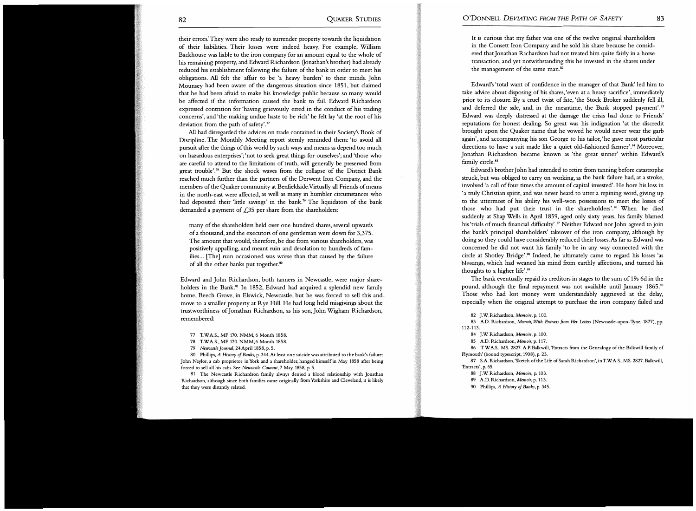their errors.' They were also ready to surrender property towards the liquidation of their liabilities. Their losses were indeed heavy. For example, William Backhouse was liable to the iron company for an amount equal to the whole of his remaining property, and Edward Richardson (Jonathan's brother) had already reduced his establishment following the failure of the bank in order to meet his obligations. All felt the affair to be 'a heavy burden' to their minds. John Mounsey had been aware of the dangerous situation since 1851, but claimed that he had been afraid to make his knowledge public because so many would be affected if the information caused the bank to fail. Edward Richardson expressed contrition for 'having grievously erred in the conduct of his trading concerns', and 'the making undue haste to be rich' he felt lay 'at the root of his deviation from the path of safety'.<sup> $\pi$ </sup>

All had disregarded the advices on trade contained in their Society's Book of Discipline. The Monthly Meeting report sternly reminded them: 'to avoid all pursuit after the things of this world by such ways and means as depend too much on hazardous enterprises'; 'not to seek great things for ourselves'; and 'those who are careful to attend to the limitations of truth, will generally be preserved from great trouble'.<sup>78</sup> But the shock waves from the collapse of the District Bank reached much further than the partners of the Derwent Iron Company, and the members of the Quaker community at Benfieldside.Virtually all Friends of means in the north-east were affected, as well as many in humbler circumstances who had deposited their 'little savings' in the bank.<sup>79</sup> The liquidators of the bank demanded a payment of  $\mathcal{L}$ 35 per share from the shareholders:

many of the shareholders held over one hundred shares, several upwards of a thousand, and the executors of one gentleman were down for 3,375. The amount that would, therefore, be due from various shareholders, was positively appalling, and meant ruin and desolation to hundreds of families... [The] ruin occasioned was worse than that caused by the failure of all the other banks put together.<sup>80</sup>

Edward and John Richardson, both tanners in Newcastle, were major shareholders in the Bank.<sup>81</sup> In 1852, Edward had acquired a splendid new family home, Beech Grove, in Elswick, Newcastle, but he was forced to sell this and move to a smaller property at Rye Hill. He had long held misgivings about the trustworthiness of Jonathan Richardson, as his son, John Wigham Richardson, remembered:

- 77 T.WA.S., MF 170. NMM, 6 Month 1858.
- 78 T.WA.S., MF 170. NMM, 6 Month 1858.
- 79 Newcastle journal, 24 April 1858, p. 5.

80 Phillips, A History of Banks, p. 344. At least one suicide was attributed to the bank's failure: John Naylor, a cab proprietor in York and a shareholder, hanged himself in May 1858 after being forced to sell all his cabs. See Newcastle Courant, 7 May 1858, p. 5.

81 The Newcastle Richardson family always denied a blood relationship with Jonathan Richardson, although since both families came originally from Yorkshire and Cleveland, it is likely that they were distantly related.

It is curious that my father was one of the twelve original shareholders in the Consett Iron Company and he sold his share because he considered that Jonathan Richardson had not treated him quite fairly in a horse transaction, and yet notwithstanding this he invested in the shares under the management of the same man.<sup>82</sup>

Edward's 'total want of confidence in the manager of that Bank' led him to take advice about disposing of his shares, 'even at a heavy sacrifice', immediately prior to its closure. By a cruel twist of fate, 'the Stock Broker suddenly fell ill, and deferred the sale, and, in the meantime, the Bank stopped payment'.<sup>83</sup> Edward was deeply distressed at the damage the crisis had done to Friends' reputations for honest dealing. So great was his indignation 'at the discredit brought upon the Quaker name that he vowed he would never wear the garb again', and accompanying his son George to his tailor, 'he gave most particular directions to have a suit made like a quiet old-fashioned farmer'.<sup>84</sup> Moreover, Jonathan Richardson became known as 'the great sinner' within Edward's family circle.<sup>85</sup>

Edward's brother John had intended to retire from tanning before catastrophe struck, but was obliged to carry on working, as the bank failure had, at a stroke, involved 'a call of four times the amount of capital invested'. He bore his loss in 'a truly Christian spirit, and was never heard to utter a repining word, giving up to the uttermost of his ability his well-won possessions to meet the losses of those who had put their trust in the shareholders'.<sup>86</sup> When he died suddenly at Shap Wells in April 1859, aged only sixty years, his family blamed his 'trials of much financial difficulty'.<sup>87</sup> Neither Edward nor John agreed to join the bank's principal shareholders' takeover of the iron company, although by doing so they could have considerably reduced their losses. As far as Edward was concerned he did not want his family 'to be in any way connected with the circle at Shotley Bridge'."8 Indeed, he ultimately came to regard his losses 'as blessings, which had weaned his mind from earthly affections, and turned his thoughts to a higher life'.<sup>89</sup>

The bank eventually repaid its creditors in stages to the sum of 19s 6d in the pound, although the final repayment was not available until January 1865.<sup>90</sup> Those who had lost money were understandably aggrieved at the delay, especially when the original attempt to purchase the iron company failed and

82 J.W. Richardson, Memoirs, p. 100.

83 A.D. Richardson, Memoir, With Extracts from Her Letters (Newcastle-upon-Tyne, 1877), pp. 112-1 13.

- 84 J.W. Richardson, Memoirs, p. 100.
- 85 A.D. Richardson, Memoir, p. 117.

86 T.WA.S., MS. 2827. A.P. Balkwill, 'Extracts from the Genealogy of the Balkwill family of Plymouth' (bound typescript, 1908), p. 23.

87 S.A. Richardson, 'Sketch of the Life of Sarah Richardson', in T.WA.S., MS. 2827. Balkwill, 'Extracts', p. 65.

- 88 J.W. Richardson, Memoirs, p. 103.
- 89 A.D. Richardson, Memoir, p. 113.
- 90 Phillips, A History of Banks, p. 345.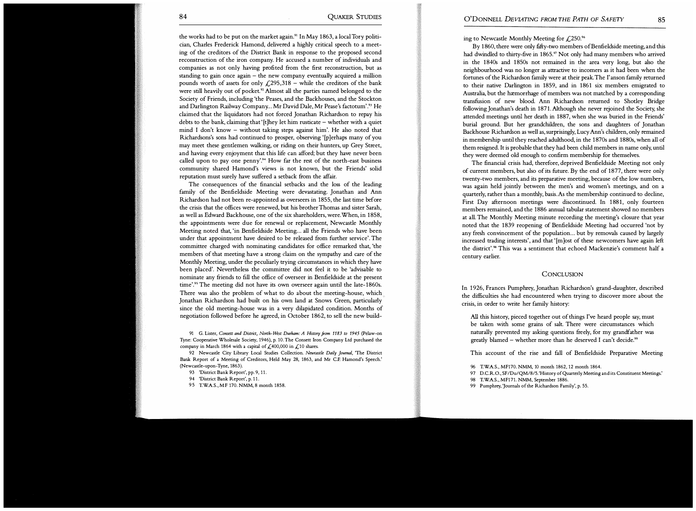the works had to be put on the market again.<sup>91</sup> In May 1863, a local Tory politician, Charles Frederick Hamond, delivered a highly critical speech to a meeting of the creditors of the District Bank in response to the proposed second reconstruction of the iron company. He accused a number of individuals and companies as not only having profited from the first reconstruction, but as standing to gain once again – the new company eventually acquired a million pounds worth of assets for only  $\angle 295,318 -$  while the creditors of the bank were still heavily out of pocket.<sup>92</sup> Almost all the parties named belonged to the Society of Friends, including 'the Peases, and the Backhouses, and the Stockton and Darlington Railway Company... Mr David Dale, Mr Pease's factotum'.<sup>93</sup> He claimed that the liquidators had not forced Jonathan Richardson to repay his debts to the bank, claiming that ' [t]hey let him rusticate - whether with a quiet mind I don't know - without taking steps against him'. He also noted that Richardsons's sons had continued to prosper, observing '[p]erhaps many of you may meet these gentlemen walking, or riding on their hunters, up Grey Street, and having every enjoyment that this life can afford; but they have never been called upon to pay one penny'.<sup>94</sup> How far the rest of the north-east business community shared Hamond's views is not known, but the Friends' solid reputation must surely have suffered a setback from the affair.

The consequences of the financial setbacks and the loss of the leading family of the Benfieldside Meeting were devastating. Jonathan and Ann Richardson had not been re-appointed as overseers in 1855, the last time before the crisis that the offices were renewed, but his brother Thomas and sister Sarah, as well as Edward Backhouse, one of the six shareholders, were. When, in 1 858, the appointments were due for renewal or replacement, Newcastle Monthly Meeting noted that, 'in Benfieldside Meeting... all the Friends who have been under that appointment have desired to be released from further service'. The committee charged with nominating candidates for office remarked that, 'the members of that meeting have a strong daim on the sympathy and care of the Monthly Meeting, under the peculiarly trying circumstances in which they have been placed'. Nevertheless the committee did not feel it to be 'advisable to nominate any friends to fill the office of overseer in Benfieldside at the present time'.<sup>95</sup> The meeting did not have its own overseer again until the late-1860s. There was also the problem of what to do about the meeting-house, which Jonathan Richardson had built on his own land at Snows Green, particularly since the old meeting-house was in a very dilapidated condition. Months of negotiation followed before he agreed, in October 1862, to sell the new build-

91 G. Lister, Consett and District, North-West Durham: A History from 1183 to 1945 (Pelaw-on Tyne: Cooperative Wholesale Society, 1946), p. 10. The Consett Iron Company Ltd purchased the company in March 1864 with a capital of  $\mathcal{L}$ ,400,000 in  $\mathcal{L}$ ,10 shares.

92 Newcastle City Library Local Studies Collection. Newcastle Daily Journal, 'The District Bank Report of a Meeting of Creditors, Held May 28, 1863, and Mr C.E Hamond's Speech.' (Newcastle-upon-Tyne, 1863).

- 94 'District Bank Report', p. 11.
- 95 T.WA.S., MF 170. NMM, 8 month 1858.

ing to Newcastle Monthly Meeting for  $\text{\textsterling}250$ .<sup>96</sup>

By 1860, there were only fifty-two members of Benfieldside meeting, and this had dwindled to thirty-five in 1865.<sup>97</sup> Not only had many members who arrived in the 1840s and 1850s not remained in the area very long, but also the neighbourhood was no longer as attractive to incomers as it had been when the fortunes of the Richardson family were at their peak. The I' anson family returned to their native Darlington in 1859, and in 1861 six members emigrated to Australia, but the hæmorrhage of members was not matched by a corresponding transfusion of new blood. Ann Richardson returned to Shotley Bridge following Jonathan's death in 1871. Although she never rejoined the Society, she attended meetings until her death in 1887, when she was buried in the Friends' burial ground. But her grandchildren, the sons and daughters of Jonathan Backhouse Richardson as well as, surprisingly, Lucy Ann's children, only remained in membership until they reached adulthood, in the 1870s and 1880s, when all of them resigned. It is probable that they had been child members in name only, until they were deemed old enough to confirm membership for themselves.

The financial crisis had, therefore, deprived Benfieldside Meeting not only of current members, but also of its future. By the end of 1877, there were only twenty-two members, and its preparative meeting, because of the low numbers, was again held jointly between the men's and women's meetings, and on a quarterly, rather than a monthly, basis. As the membership continued to decline, First Day afternoon meetings were discontinued. In 1881, only fourteen members remained, and the 1886 annual tabular statement showed no members at all. The Monthly Meeting minute recording the meeting's closure that year noted that the 1839 reopening of Benfieldside Meeting had occurred 'not by any fresh convincement of the population... but by removals caused by largely increased trading interests', and that '[m]ost of these newcomers have again left the district'.98 This was a sentiment that echoed Mackenzie's comment half a century earlier.

#### **CONCLUSION**

In 1926, Frances Pumphrey, Jonathan Richardson's grand-daughter, described the difficulties she had encountered when trying to discover more about the crisis, in order to write her family history:

All this history, pieced together out of things I've heard people say, must be taken with some grains of salt. There were circumstances which naturally prevented my asking questions freely, for my grandfather was greatly blamed – whether more than he deserved I can't decide.<sup>99</sup>

This account of the rise and fall of Benfieldside Preparative Meeting

- 96 T.WA.S., MF170. NMM, 10 month 1862, 12 month 1864.
- 97 D.C.R.O., SF/Du/QM/8/5. 'History of Quarterly Meeting and its Constituent Meetings.'
- 98 T.WA.S., MF171. NMM, September 1886.
- 99 Pumphrey, 'Journals of the Richardson Family', p. 55.

<sup>93</sup> 'District Bank Report', pp. 9, 11.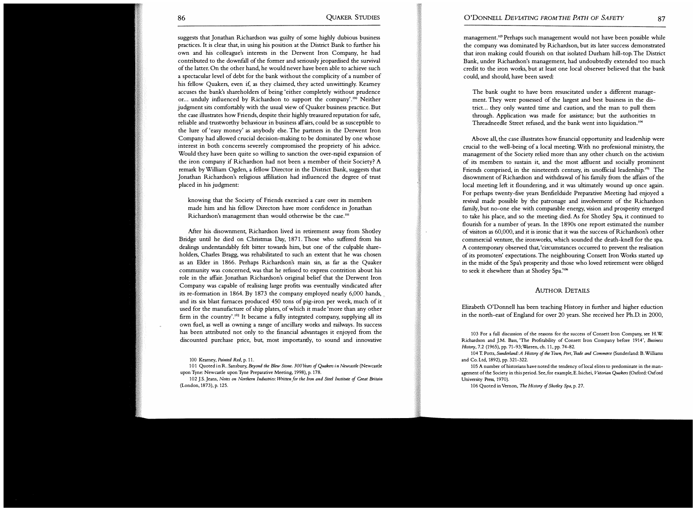suggests that Jonathan Richardson was guilty of some highly dubious business practices. It is clear that, in using his position at the District Bank to further his own and his colleague's interests in the Derwent Iron Company, he had contributed to the downfall of the former and seriously jeopardised the survival of the latter. On the other hand, he would never have been able to achieve such a spectacular level of debt for the bank without the complicity of a number of his fellow Quakers, even if, as they claimed, they acted unwittingly. Kearney accuses the bank's shareholders of being 'either completely without prudence or... unduly influenced by Richardson to support the company'.<sup>100</sup> Neither judgment sits comfortably with the usual view of Quaker business practice. But the case illustrates how Friends, despite their highly treasured reputation for safe, reliable and trustworthy behaviour in business affairs, could be as susceptible to the lure of 'easy money' as anybody else. The partners in the Derwent Iron Company had allowed crucial decision-making to be dominated by one whose interest in both concerns severely compromised the propriety of his advice. Would they have been quite so willing to sanction the over-rapid expansion of the iron company if Richardson had not been a member of their Society? A remark by William Ogden, a fellow Director in the District Bank, suggests that Jonathan Richardson's religious affiliation had influenced the degree of trust placed in his judgment:

knowing that the Society of Friends exercised a care over its members made him and his fellow Directors have more confidence in Jonathan Richardson's management than would otherwise be the case.101

Mter his disownment, Richardson lived in retirement away from Shodey Bridge until he died on Christmas Day, 1871. Those who suffered from his dealings understandably felt bitter towards him, but one of the culpable shareholders, Charles Bragg, was rehabilitated to such an extent that he was chosen as an Elder in 1866. Perhaps Richardson's main sin, as far as the Quaker community was concerned, was that he refused to express contrition about his role in the affair. Jonathan Richardson's original belief that the Derwent Iron Company was capable of realising large profits was eventually vindicated after its re-formation in 1864. By 1873 the company employed nearly 6,000 hands, and its six blast furnaces produced 450 tons of pig-iron per week, much of it used for the manufacture of ship plates, of which it made 'more than any other firm in the country'.<sup>102</sup> It became a fully integrated company, supplying all its own fuel, as well as owning a range of ancillary works and railways. Its success has been attributed not only to the financial advantages it enjoyed from the discounted purchase price, but, most importandy, to sound and innovative

100 Kearney, Painted Red, p. 11.

102 J.S. Jeans, Notes on Northern Industries: Written for the Iron and Steel Institute of Great Britain (London, 1873), p. 125.

management. 10 3 Perhaps such management would not have been possible while the company was dominated by Richardson, but its later success demonstrated that iron making could flourish on that isolated Durham hill-top. The District Bank, under Richardson's management, had undoubtedly extended too much credit to the iron works, but at least one local observer believed that the bank could, and should, have been saved:

The bank ought to have been resuscitated under a different management. They were possessed of the largest and best business in the district... they only wanted time and caution, and the man to pull them through. Application was made for assistance; but the authorities <sup>m</sup> Threadneedle Street refused, and the bank went into liquidation. 104

Above all, the case illustrates how financial opportunity and leadership were crucial to the well-being of a local meeting. With no professional ministry, the management of the Society relied more than any other church on the activism of its members to sustain it, and the most afiluent and socially prominent Friends comprised, in the nineteenth century, its unofficial leadership.<sup>105</sup> The disownment of Richardson and withdrawal of his family from the affairs of the local meeting left it floundering, and it was ultimately wound up once again. For perhaps twenty-five years Benfieldside Preparative Meeting had enjoyed a revival made possible by the patronage and involvement of the Richardson family, but no-one else with comparable energy, vision and prosperity emerged to take his place, and so the meeting died. As for Shodey Spa, it continued to flourish for a number of years. In the 1890s one report estimated the number of visitors as 60,000, and it is ironic that it was the success of Richardson's other commercial venture, the ironworks, which sounded the death-knell for the spa. A contemporary observed that, 'circumstances occurred to prevent the realisation of its promoters' expectations. The neighbouring Consett Iron Works started up in the midst of the Spa's prosperity and those who loved retirement were obliged to seek it elsewhere than at Shotley Spa.'<sup>106</sup>

## AUTHOR DETAILS

Elizabeth O'Donnell has been teaching History in further and higher eduction in the north-east of England for over 20 years. She received her Ph.D. in 2000,

103 For a full discussion of the reasons for the success of Consett Iron Company, see H. W Richardson and J.M. Bass, 'The Profitability of Consett Iron Company before 1914', Business History, 7.2 (1965), pp. 71-93;Warren, ch. 11, pp. 74-82.

106 Quoted in Vernon, The History of Shotley Spa, p. 27.

<sup>101</sup> Quoted in R. Sansbury, Beyond the Blew Stone. 300 Years of Quakers in Newcastle (Newcastle upon Tyne: Newcastle upon Tyne Preparative Meeting, 1998), p. 178.

<sup>104</sup> T. Potts, Sunderland: A History of the Town, Port, Trade and Commerce (Sunderland: B. Williams and Co. Ltd, 1892), pp. 321-322.

<sup>105</sup> A number of historians have noted the tendency oflocal elites to predominate in the management of the Society in this period. See, for example, E. Isichei, Victorian Quakers (Oxford: Oxford University Press, 1970).